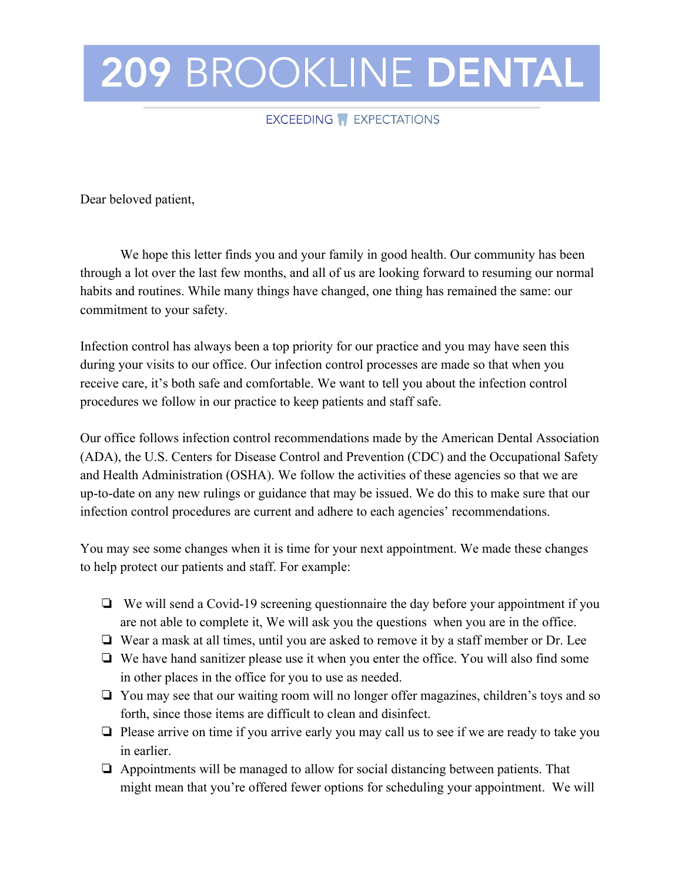## 209 BROOKLINE DENTAL

## EXCEEDING **F** EXPECTATIONS

Dear beloved patient,

We hope this letter finds you and your family in good health. Our community has been through a lot over the last few months, and all of us are looking forward to resuming our normal habits and routines. While many things have changed, one thing has remained the same: our commitment to your safety.

Infection control has always been a top priority for our practice and you may have seen this during your visits to our office. Our infection control processes are made so that when you receive care, it's both safe and comfortable. We want to tell you about the infection control procedures we follow in our practice to keep patients and staff safe.

Our office follows infection control recommendations made by the American Dental Association (ADA), the U.S. Centers for Disease Control and Prevention (CDC) and the Occupational Safety and Health Administration (OSHA). We follow the activities of these agencies so that we are up-to-date on any new rulings or guidance that may be issued. We do this to make sure that our infection control procedures are current and adhere to each agencies' recommendations.

You may see some changes when it is time for your next appointment. We made these changes to help protect our patients and staff. For example:

- ❏ We will send a Covid-19 screening questionnaire the day before your appointment if you are not able to complete it, We will ask you the questions when you are in the office.
- ❏ Wear a mask at all times, until you are asked to remove it by a staff member or Dr. Lee
- ❏ We have hand sanitizer please use it when you enter the office. You will also find some in other places in the office for you to use as needed.
- ❏ You may see that our waiting room will no longer offer magazines, children's toys and so forth, since those items are difficult to clean and disinfect.
- ❏ Please arrive on time if you arrive early you may call us to see if we are ready to take you in earlier.
- ❏ Appointments will be managed to allow for social distancing between patients. That might mean that you're offered fewer options for scheduling your appointment. We will